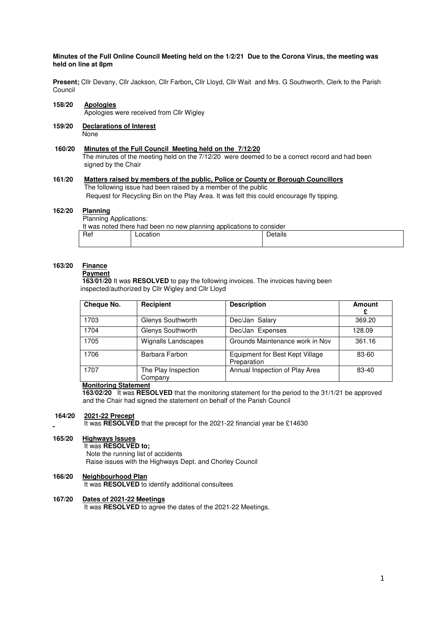### **Minutes of the Full Online Council Meeting held on the 1/2/21 Due to the Corona Virus, the meeting was held on line at 8pm**

**Present;** Cllr Devany, Cllr Jackson, Cllr Farbon**,** Cllr Lloyd, Cllr Wait and Mrs. G Southworth, Clerk to the Parish Council

# **158/20 Apologies**

Apologies were received from Cllr Wigley

#### **159/20 Declarations of Interest None**

# **160/20 Minutes of the Full Council Meeting held on the 7/12/20**

 The minutes of the meeting held on the 7/12/20 were deemed to be a correct record and had been signed by the Chair

#### **161/20 Matters raised by members of the public, Police or County or Borough Councillors**  The following issue had been raised by a member of the public Request for Recycling Bin on the Play Area. It was felt this could encourage fly tipping.

#### 162/20 **Planning**

Planning Applications:

| It was noted there had been no new planning applications to consider |          |         |  |  |
|----------------------------------------------------------------------|----------|---------|--|--|
| Ret                                                                  | ∟ocation | Details |  |  |
|                                                                      |          |         |  |  |

#### **163/20 Finance Payment**

 **163/01/20** It was **RESOLVED** to pay the following invoices. The invoices having been inspected/authorized by Cllr Wigley and Cllr Lloyd

| Cheque No. | Recipient                      | <b>Description</b>                             | <b>Amount</b><br>£ |
|------------|--------------------------------|------------------------------------------------|--------------------|
| 1703       | Glenys Southworth              | Dec/Jan Salary                                 | 369.20             |
| 1704       | Glenys Southworth              | Dec/Jan Expenses                               | 128.09             |
| 1705       | <b>Wignalls Landscapes</b>     | Grounds Maintenance work in Nov                | 361.16             |
| 1706       | Barbara Farbon                 | Equipment for Best Kept Village<br>Preparation | 83-60              |
| 1707       | The Play Inspection<br>Company | Annual Inspection of Play Area                 | 83-40              |

# **Monitoring Statement**

 **163/02/20** It was **RESOLVED** that the monitoring statement for the period to the 31/1/21 be approved and the Chair had signed the statement on behalf of the Parish Council

## **164/20 2021-22 Precept**

It was **RESOLVED** that the precept for the 2021-22 financial year be £14630

#### 165/20 **Highways Issues**

 It was **RESOLVED to;**  Note the running list of accidents Raise issues with the Highways Dept. and Chorley Council

# **166/20 Neighbourhood Plan**

It was **RESOLVED** to identify additional consultees

# **167/20 Dates of 2021-22 Meetings**

It was **RESOLVED** to agree the dates of the 2021-22 Meetings.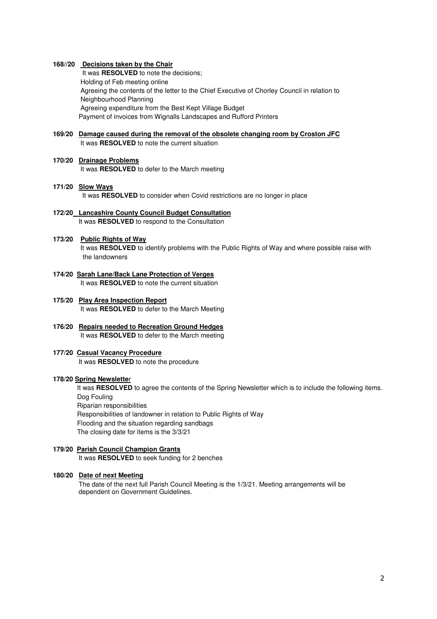#### **168//20 Decisions taken by the Chair**

 It was **RESOLVED** to note the decisions; Holding of Feb meeting online Agreeing the contents of the letter to the Chief Executive of Chorley Council in relation to Neighbourhood Planning Agreeing expenditure from the Best Kept Village Budget Payment of invoices from Wignalls Landscapes and Rufford Printers

# **169/20 Damage caused during the removal of the obsolete changing room by Croston JFC** It was **RESOLVED** to note the current situation

# **170/20 Drainage Problems**

It was **RESOLVED** to defer to the March meeting

### **171/20 Slow Ways**  It was **RESOLVED** to consider when Covid restrictions are no longer in place

#### **172/20 Lancashire County Council Budget Consultation** It was **RESOLVED** to respond to the Consultation

#### **173/20 Public Rights of Way**

It was **RESOLVED** to identify problems with the Public Rights of Way and where possible raise with the landowners

- **174/20 Sarah Lane/Back Lane Protection of Verges**  It was **RESOLVED** to note the current situation
- **175/20 Play Area Inspection Report**  It was **RESOLVED** to defer to the March Meeting
- **176/20 Repairs needed to Recreation Ground Hedges** It was **RESOLVED** to defer to the March meeting

#### **177/20 Casual Vacancy Procedure** It was **RESOLVED** to note the procedure

#### **178/20 Spring Newslette**r

It was **RESOLVED** to agree the contents of the Spring Newsletter which is to include the following items. Dog Fouling

Riparian responsibilities

Responsibilities of landowner in relation to Public Rights of Way Flooding and the situation regarding sandbags The closing date for items is the 3/3/21

# **179/20 Parish Council Champion Grants**

It was **RESOLVED** to seek funding for 2 benches

### **180/20 Date of next Meeting**

The date of the next full Parish Council Meeting is the 1/3/21. Meeting arrangements will be dependent on Government Guidelines.